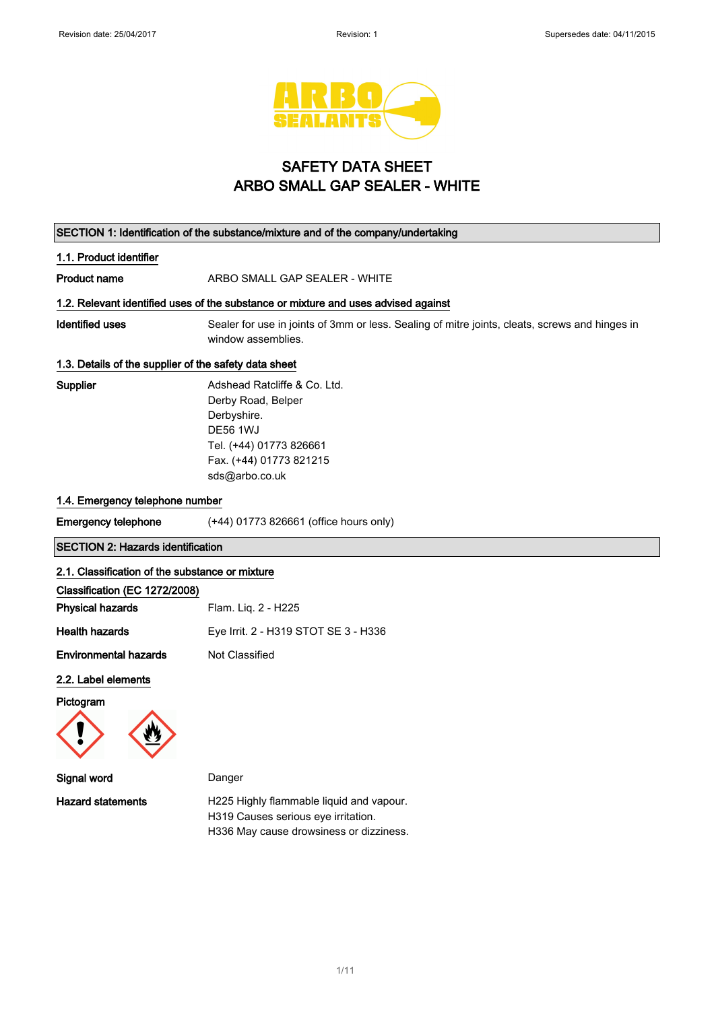

# SAFETY DATA SHEET ARBO SMALL GAP SEALER - WHITE

| SECTION 1: Identification of the substance/mixture and of the company/undertaking |                                                                                                                                                              |  |  |
|-----------------------------------------------------------------------------------|--------------------------------------------------------------------------------------------------------------------------------------------------------------|--|--|
| 1.1. Product identifier                                                           |                                                                                                                                                              |  |  |
| Product name                                                                      | ARBO SMALL GAP SEALER - WHITE                                                                                                                                |  |  |
|                                                                                   | 1.2. Relevant identified uses of the substance or mixture and uses advised against                                                                           |  |  |
| <b>Identified uses</b>                                                            | Sealer for use in joints of 3mm or less. Sealing of mitre joints, cleats, screws and hinges in<br>window assemblies.                                         |  |  |
| 1.3. Details of the supplier of the safety data sheet                             |                                                                                                                                                              |  |  |
| Supplier                                                                          | Adshead Ratcliffe & Co. Ltd.<br>Derby Road, Belper<br>Derbyshire.<br><b>DE56 1WJ</b><br>Tel. (+44) 01773 826661<br>Fax. (+44) 01773 821215<br>sds@arbo.co.uk |  |  |
| 1.4. Emergency telephone number                                                   |                                                                                                                                                              |  |  |
| <b>Emergency telephone</b>                                                        | (+44) 01773 826661 (office hours only)                                                                                                                       |  |  |
| <b>SECTION 2: Hazards identification</b>                                          |                                                                                                                                                              |  |  |
| 2.1. Classification of the substance or mixture                                   |                                                                                                                                                              |  |  |
| Classification (EC 1272/2008)                                                     |                                                                                                                                                              |  |  |
| <b>Physical hazards</b>                                                           | Flam. Lig. 2 - H225                                                                                                                                          |  |  |
| <b>Health hazards</b>                                                             | Eye Irrit. 2 - H319 STOT SE 3 - H336                                                                                                                         |  |  |
| <b>Environmental hazards</b>                                                      | Not Classified                                                                                                                                               |  |  |
| 2.2. Label elements                                                               |                                                                                                                                                              |  |  |
| Pictogram                                                                         |                                                                                                                                                              |  |  |
| Signal word                                                                       | Danger                                                                                                                                                       |  |  |
| <b>Hazard statements</b>                                                          | H225 Highly flammable liquid and vapour.<br>H319 Causes serious eye irritation.<br>H336 May cause drowsiness or dizziness.                                   |  |  |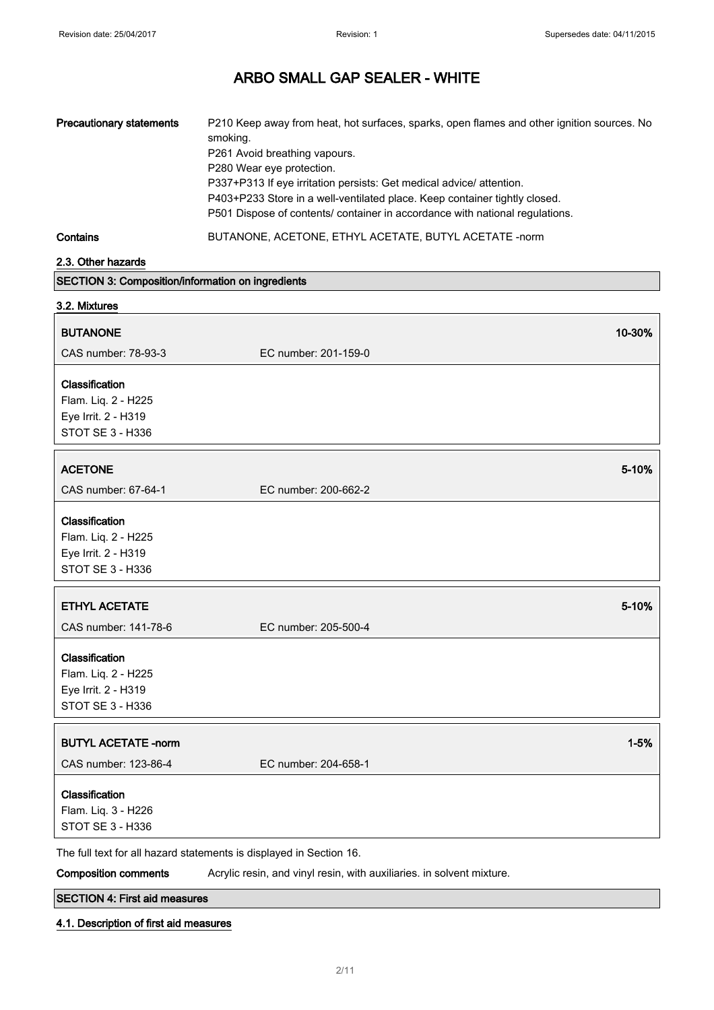| <b>Precautionary statements</b>                                                         | P210 Keep away from heat, hot surfaces, sparks, open flames and other ignition sources. No<br>smoking.<br>P261 Avoid breathing vapours.<br>P280 Wear eye protection.<br>P337+P313 If eye irritation persists: Get medical advice/ attention.<br>P403+P233 Store in a well-ventilated place. Keep container tightly closed.<br>P501 Dispose of contents/ container in accordance with national regulations. |          |
|-----------------------------------------------------------------------------------------|------------------------------------------------------------------------------------------------------------------------------------------------------------------------------------------------------------------------------------------------------------------------------------------------------------------------------------------------------------------------------------------------------------|----------|
| Contains                                                                                | BUTANONE, ACETONE, ETHYL ACETATE, BUTYL ACETATE -norm                                                                                                                                                                                                                                                                                                                                                      |          |
| 2.3. Other hazards                                                                      |                                                                                                                                                                                                                                                                                                                                                                                                            |          |
| SECTION 3: Composition/information on ingredients                                       |                                                                                                                                                                                                                                                                                                                                                                                                            |          |
| 3.2. Mixtures                                                                           |                                                                                                                                                                                                                                                                                                                                                                                                            |          |
| <b>BUTANONE</b>                                                                         |                                                                                                                                                                                                                                                                                                                                                                                                            | 10-30%   |
| CAS number: 78-93-3                                                                     | EC number: 201-159-0                                                                                                                                                                                                                                                                                                                                                                                       |          |
| Classification<br>Flam. Liq. 2 - H225<br>Eye Irrit. 2 - H319<br><b>STOT SE 3 - H336</b> |                                                                                                                                                                                                                                                                                                                                                                                                            |          |
| <b>ACETONE</b>                                                                          |                                                                                                                                                                                                                                                                                                                                                                                                            | 5-10%    |
| CAS number: 67-64-1                                                                     | EC number: 200-662-2                                                                                                                                                                                                                                                                                                                                                                                       |          |
| Classification<br>Flam. Liq. 2 - H225<br>Eye Irrit. 2 - H319<br>STOT SE 3 - H336        |                                                                                                                                                                                                                                                                                                                                                                                                            |          |
| <b>ETHYL ACETATE</b>                                                                    |                                                                                                                                                                                                                                                                                                                                                                                                            | 5-10%    |
| CAS number: 141-78-6                                                                    | EC number: 205-500-4                                                                                                                                                                                                                                                                                                                                                                                       |          |
| Classification<br>Flam. Liq. 2 - H225<br>Eye Irrit. 2 - H319<br>STOT SE 3 - H336        |                                                                                                                                                                                                                                                                                                                                                                                                            |          |
| <b>BUTYL ACETATE -norm</b><br>CAS number: 123-86-4                                      | EC number: 204-658-1                                                                                                                                                                                                                                                                                                                                                                                       | $1 - 5%$ |
| Classification<br>Flam. Liq. 3 - H226<br>STOT SE 3 - H336                               |                                                                                                                                                                                                                                                                                                                                                                                                            |          |
| <b>Composition comments</b>                                                             | The full text for all hazard statements is displayed in Section 16.<br>Acrylic resin, and vinyl resin, with auxiliaries. in solvent mixture.                                                                                                                                                                                                                                                               |          |

SECTION 4: First aid measures

### 4.1. Description of first aid measures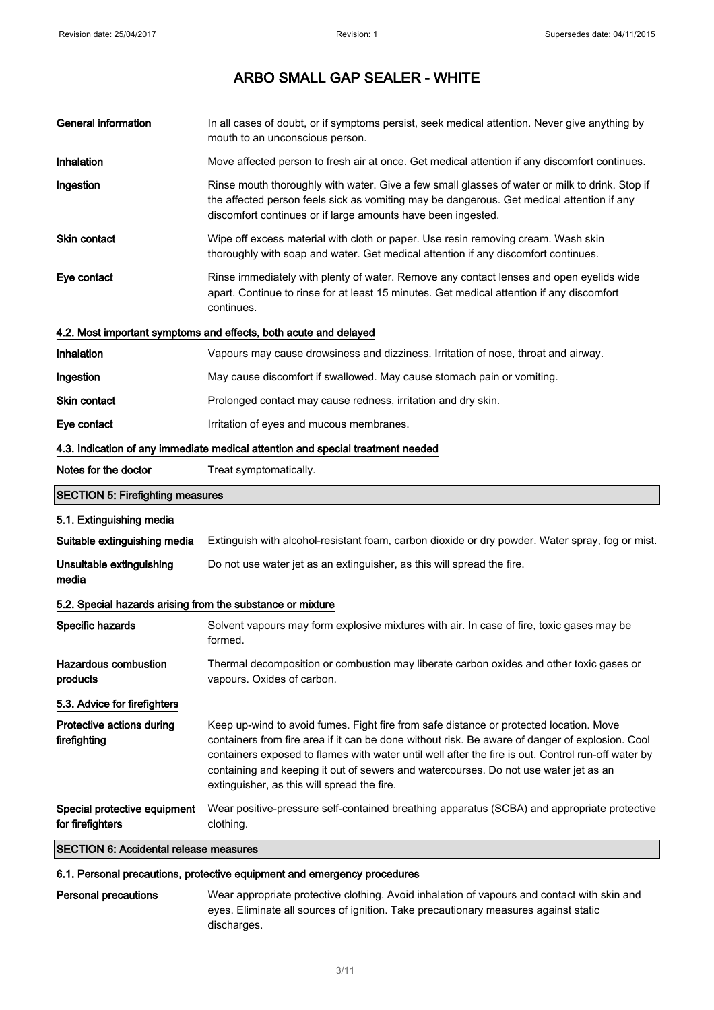$\overline{\phantom{a}}$ 

# ARBO SMALL GAP SEALER - WHITE

| <b>General information</b>                                 | In all cases of doubt, or if symptoms persist, seek medical attention. Never give anything by<br>mouth to an unconscious person.                                                                                                                                                                                                                                                                                                       |  |
|------------------------------------------------------------|----------------------------------------------------------------------------------------------------------------------------------------------------------------------------------------------------------------------------------------------------------------------------------------------------------------------------------------------------------------------------------------------------------------------------------------|--|
| Inhalation                                                 | Move affected person to fresh air at once. Get medical attention if any discomfort continues.                                                                                                                                                                                                                                                                                                                                          |  |
| Ingestion                                                  | Rinse mouth thoroughly with water. Give a few small glasses of water or milk to drink. Stop if<br>the affected person feels sick as vomiting may be dangerous. Get medical attention if any<br>discomfort continues or if large amounts have been ingested.                                                                                                                                                                            |  |
| Skin contact                                               | Wipe off excess material with cloth or paper. Use resin removing cream. Wash skin<br>thoroughly with soap and water. Get medical attention if any discomfort continues.                                                                                                                                                                                                                                                                |  |
| Eye contact                                                | Rinse immediately with plenty of water. Remove any contact lenses and open eyelids wide<br>apart. Continue to rinse for at least 15 minutes. Get medical attention if any discomfort<br>continues.                                                                                                                                                                                                                                     |  |
|                                                            | 4.2. Most important symptoms and effects, both acute and delayed                                                                                                                                                                                                                                                                                                                                                                       |  |
| <b>Inhalation</b>                                          | Vapours may cause drowsiness and dizziness. Irritation of nose, throat and airway.                                                                                                                                                                                                                                                                                                                                                     |  |
| Ingestion                                                  | May cause discomfort if swallowed. May cause stomach pain or vomiting.                                                                                                                                                                                                                                                                                                                                                                 |  |
| <b>Skin contact</b>                                        | Prolonged contact may cause redness, irritation and dry skin.                                                                                                                                                                                                                                                                                                                                                                          |  |
| Eye contact                                                | Irritation of eyes and mucous membranes.                                                                                                                                                                                                                                                                                                                                                                                               |  |
|                                                            | 4.3. Indication of any immediate medical attention and special treatment needed                                                                                                                                                                                                                                                                                                                                                        |  |
| Notes for the doctor                                       | Treat symptomatically.                                                                                                                                                                                                                                                                                                                                                                                                                 |  |
| <b>SECTION 5: Firefighting measures</b>                    |                                                                                                                                                                                                                                                                                                                                                                                                                                        |  |
| 5.1. Extinguishing media                                   |                                                                                                                                                                                                                                                                                                                                                                                                                                        |  |
| Suitable extinguishing media                               | Extinguish with alcohol-resistant foam, carbon dioxide or dry powder. Water spray, fog or mist.                                                                                                                                                                                                                                                                                                                                        |  |
| Unsuitable extinguishing<br>media                          | Do not use water jet as an extinguisher, as this will spread the fire.                                                                                                                                                                                                                                                                                                                                                                 |  |
| 5.2. Special hazards arising from the substance or mixture |                                                                                                                                                                                                                                                                                                                                                                                                                                        |  |
| Specific hazards                                           | Solvent vapours may form explosive mixtures with air. In case of fire, toxic gases may be<br>formed.                                                                                                                                                                                                                                                                                                                                   |  |
| <b>Hazardous combustion</b><br>products                    | Thermal decomposition or combustion may liberate carbon oxides and other toxic gases or<br>vapours. Oxides of carbon.                                                                                                                                                                                                                                                                                                                  |  |
| 5.3. Advice for firefighters                               |                                                                                                                                                                                                                                                                                                                                                                                                                                        |  |
| Protective actions during<br>firefighting                  | Keep up-wind to avoid fumes. Fight fire from safe distance or protected location. Move<br>containers from fire area if it can be done without risk. Be aware of danger of explosion. Cool<br>containers exposed to flames with water until well after the fire is out. Control run-off water by<br>containing and keeping it out of sewers and watercourses. Do not use water jet as an<br>extinguisher, as this will spread the fire. |  |
| Special protective equipment<br>for firefighters           | Wear positive-pressure self-contained breathing apparatus (SCBA) and appropriate protective<br>clothing.                                                                                                                                                                                                                                                                                                                               |  |
| <b>SECTION 6: Accidental release measures</b>              |                                                                                                                                                                                                                                                                                                                                                                                                                                        |  |

# 6.1. Personal precautions, protective equipment and emergency procedures

Personal precautions Wear appropriate protective clothing. Avoid inhalation of vapours and contact with skin and eyes. Eliminate all sources of ignition. Take precautionary measures against static discharges.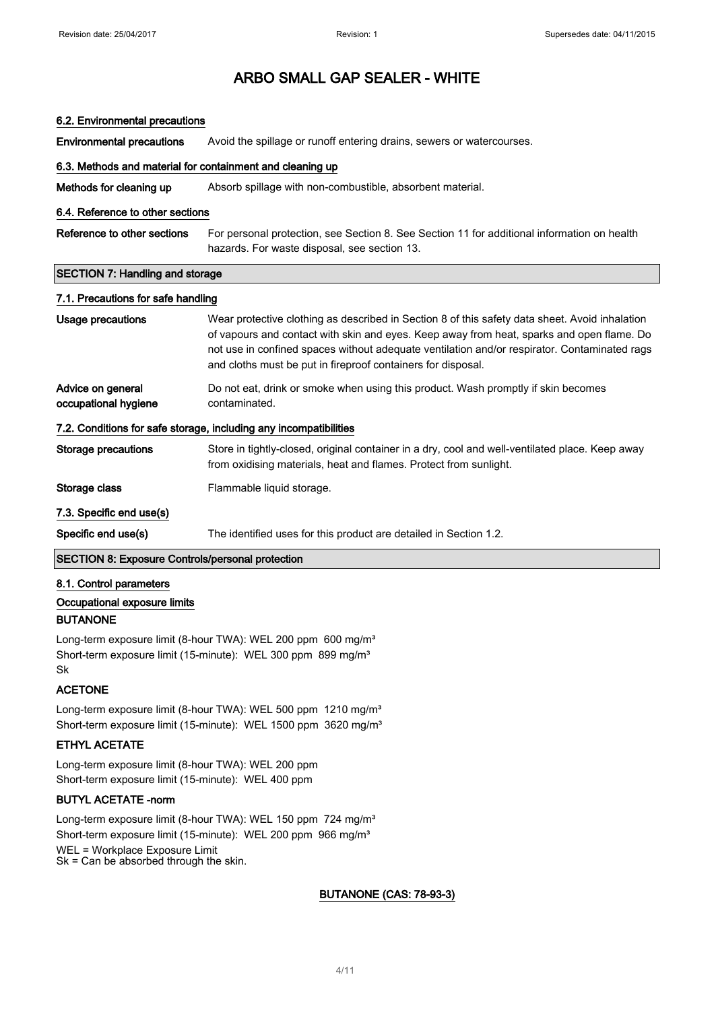#### 6.2. Environmental precautions

**Environmental precautions** Avoid the spillage or runoff entering drains, sewers or watercourses.

### 6.3. Methods and material for containment and cleaning up

Methods for cleaning up Absorb spillage with non-combustible, absorbent material.

#### 6.4. Reference to other sections

Reference to other sections For personal protection, see Section 8. See Section 11 for additional information on health hazards. For waste disposal, see section 13.

#### SECTION 7: Handling and storage

#### 7.1. Precautions for safe handling

| Usage precautions                                                 | Wear protective clothing as described in Section 8 of this safety data sheet. Avoid inhalation<br>of vapours and contact with skin and eyes. Keep away from heat, sparks and open flame. Do<br>not use in confined spaces without adequate ventilation and/or respirator. Contaminated rags |  |  |  |
|-------------------------------------------------------------------|---------------------------------------------------------------------------------------------------------------------------------------------------------------------------------------------------------------------------------------------------------------------------------------------|--|--|--|
|                                                                   | and cloths must be put in fireproof containers for disposal.                                                                                                                                                                                                                                |  |  |  |
| Advice on general<br>occupational hygiene                         | Do not eat, drink or smoke when using this product. Wash promptly if skin becomes<br>contaminated.                                                                                                                                                                                          |  |  |  |
| 7.2. Conditions for safe storage, including any incompatibilities |                                                                                                                                                                                                                                                                                             |  |  |  |
| Storage precautions                                               | Store in tightly-closed, original container in a dry, cool and well-ventilated place. Keep away<br>from oxidising materials, heat and flames. Protect from sunlight.                                                                                                                        |  |  |  |
| Storage class                                                     | Flammable liquid storage.                                                                                                                                                                                                                                                                   |  |  |  |
| 7.3. Specific end use(s)                                          |                                                                                                                                                                                                                                                                                             |  |  |  |
| Specific end use(s)                                               | The identified uses for this product are detailed in Section 1.2.                                                                                                                                                                                                                           |  |  |  |
| <b>SECTION 8: Exposure Controls/personal protection</b>           |                                                                                                                                                                                                                                                                                             |  |  |  |

### 8.1. Control parameters

### Occupational exposure limits

### BUTANONE

Long-term exposure limit (8-hour TWA): WEL 200 ppm 600 mg/m<sup>3</sup> Short-term exposure limit (15-minute): WEL 300 ppm 899 mg/m<sup>3</sup> Sk

### ACETONE

Long-term exposure limit (8-hour TWA): WEL 500 ppm 1210 mg/m<sup>3</sup> Short-term exposure limit (15-minute): WEL 1500 ppm 3620 mg/m<sup>3</sup>

### ETHYL ACETATE

Long-term exposure limit (8-hour TWA): WEL 200 ppm Short-term exposure limit (15-minute): WEL 400 ppm

### BUTYL ACETATE -norm

Long-term exposure limit (8-hour TWA): WEL 150 ppm 724 mg/m<sup>3</sup> Short-term exposure limit (15-minute): WEL 200 ppm 966 mg/m<sup>3</sup> WEL = Workplace Exposure Limit Sk = Can be absorbed through the skin.

BUTANONE (CAS: 78-93-3)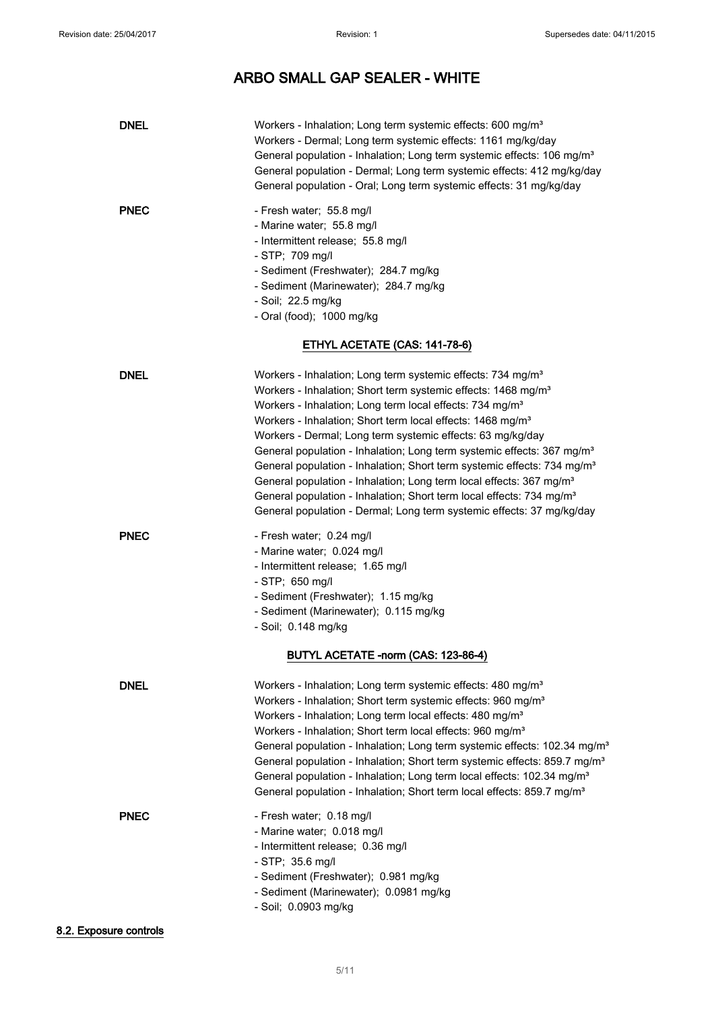| <b>DNEL</b> | Workers - Inhalation; Long term systemic effects: 600 mg/m <sup>3</sup><br>Workers - Dermal; Long term systemic effects: 1161 mg/kg/day<br>General population - Inhalation; Long term systemic effects: 106 mg/m <sup>3</sup><br>General population - Dermal; Long term systemic effects: 412 mg/kg/day<br>General population - Oral; Long term systemic effects: 31 mg/kg/day                                                                                                                                                                                                                                                                                                                                                                                                                    |
|-------------|---------------------------------------------------------------------------------------------------------------------------------------------------------------------------------------------------------------------------------------------------------------------------------------------------------------------------------------------------------------------------------------------------------------------------------------------------------------------------------------------------------------------------------------------------------------------------------------------------------------------------------------------------------------------------------------------------------------------------------------------------------------------------------------------------|
| <b>PNEC</b> | - Fresh water; 55.8 mg/l<br>- Marine water; 55.8 mg/l<br>- Intermittent release; 55.8 mg/l<br>- STP; 709 mg/l<br>- Sediment (Freshwater); 284.7 mg/kg<br>- Sediment (Marinewater); 284.7 mg/kg<br>- Soil; 22.5 mg/kg<br>- Oral (food); 1000 mg/kg                                                                                                                                                                                                                                                                                                                                                                                                                                                                                                                                                 |
|             | ETHYL ACETATE (CAS: 141-78-6)                                                                                                                                                                                                                                                                                                                                                                                                                                                                                                                                                                                                                                                                                                                                                                     |
| <b>DNEL</b> | Workers - Inhalation; Long term systemic effects: 734 mg/m <sup>3</sup><br>Workers - Inhalation; Short term systemic effects: 1468 mg/m <sup>3</sup><br>Workers - Inhalation; Long term local effects: 734 mg/m <sup>3</sup><br>Workers - Inhalation; Short term local effects: 1468 mg/m <sup>3</sup><br>Workers - Dermal; Long term systemic effects: 63 mg/kg/day<br>General population - Inhalation; Long term systemic effects: 367 mg/m <sup>3</sup><br>General population - Inhalation; Short term systemic effects: 734 mg/m <sup>3</sup><br>General population - Inhalation; Long term local effects: 367 mg/m <sup>3</sup><br>General population - Inhalation; Short term local effects: 734 mg/m <sup>3</sup><br>General population - Dermal; Long term systemic effects: 37 mg/kg/day |
| <b>PNEC</b> | - Fresh water; 0.24 mg/l<br>- Marine water; 0.024 mg/l<br>- Intermittent release; 1.65 mg/l<br>- STP; 650 mg/l<br>- Sediment (Freshwater); 1.15 mg/kg<br>- Sediment (Marinewater); 0.115 mg/kg<br>- Soil; 0.148 mg/kg<br>BUTYL ACETATE -norm (CAS: 123-86-4)                                                                                                                                                                                                                                                                                                                                                                                                                                                                                                                                      |
| <b>DNEL</b> | Workers - Inhalation; Long term systemic effects: 480 mg/m <sup>3</sup><br>Workers - Inhalation; Short term systemic effects: 960 mg/m <sup>3</sup><br>Workers - Inhalation; Long term local effects: 480 mg/m <sup>3</sup><br>Workers - Inhalation; Short term local effects: 960 mg/m <sup>3</sup><br>General population - Inhalation; Long term systemic effects: 102.34 mg/m <sup>3</sup><br>General population - Inhalation; Short term systemic effects: 859.7 mg/m <sup>3</sup><br>General population - Inhalation; Long term local effects: 102.34 mg/m <sup>3</sup><br>General population - Inhalation; Short term local effects: 859.7 mg/m <sup>3</sup>                                                                                                                                |
| <b>PNEC</b> | - Fresh water; 0.18 mg/l<br>- Marine water; 0.018 mg/l<br>- Intermittent release; 0.36 mg/l<br>- STP; 35.6 mg/l<br>- Sediment (Freshwater); 0.981 mg/kg<br>- Sediment (Marinewater); 0.0981 mg/kg<br>- Soil; 0.0903 mg/kg                                                                                                                                                                                                                                                                                                                                                                                                                                                                                                                                                                         |

### 8.2. Exposure controls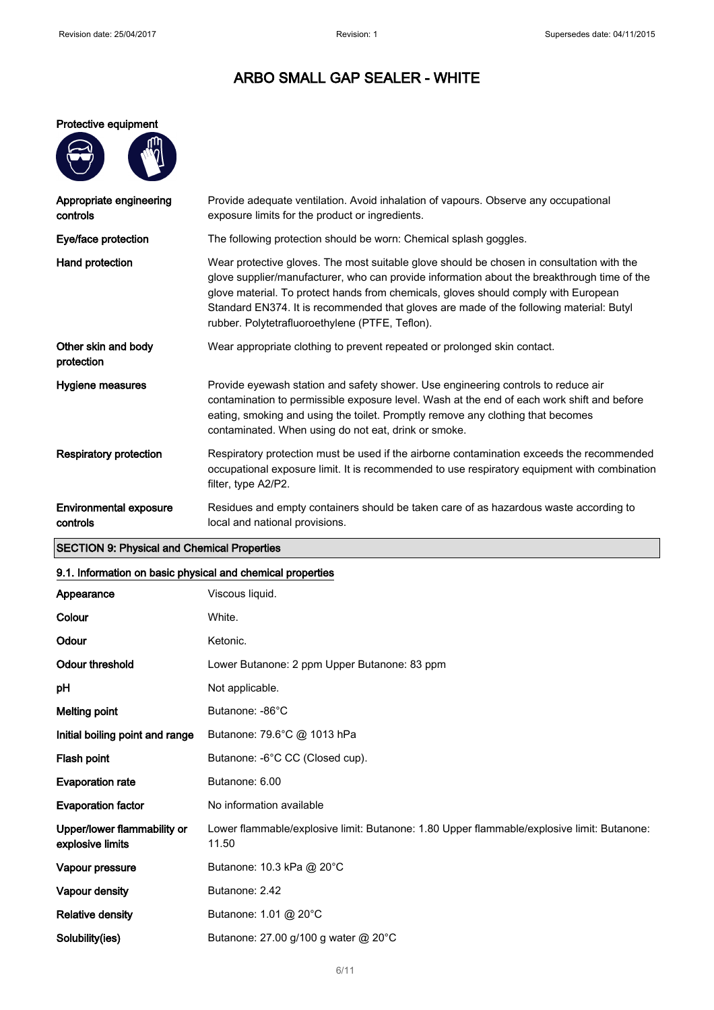#### Protective equipment

| 伵 |
|---|
|   |
|   |
|   |

| Appropriate engineering<br>controls       | Provide adequate ventilation. Avoid inhalation of vapours. Observe any occupational<br>exposure limits for the product or ingredients.                                                                                                                                                                                                                                                                                        |  |  |
|-------------------------------------------|-------------------------------------------------------------------------------------------------------------------------------------------------------------------------------------------------------------------------------------------------------------------------------------------------------------------------------------------------------------------------------------------------------------------------------|--|--|
| Eye/face protection                       | The following protection should be worn: Chemical splash goggles.                                                                                                                                                                                                                                                                                                                                                             |  |  |
| Hand protection                           | Wear protective gloves. The most suitable glove should be chosen in consultation with the<br>glove supplier/manufacturer, who can provide information about the breakthrough time of the<br>glove material. To protect hands from chemicals, gloves should comply with European<br>Standard EN374. It is recommended that gloves are made of the following material: Butyl<br>rubber. Polytetrafluoroethylene (PTFE, Teflon). |  |  |
| Other skin and body<br>protection         | Wear appropriate clothing to prevent repeated or prolonged skin contact.                                                                                                                                                                                                                                                                                                                                                      |  |  |
| Hygiene measures                          | Provide eyewash station and safety shower. Use engineering controls to reduce air<br>contamination to permissible exposure level. Wash at the end of each work shift and before<br>eating, smoking and using the toilet. Promptly remove any clothing that becomes<br>contaminated. When using do not eat, drink or smoke.                                                                                                    |  |  |
| <b>Respiratory protection</b>             | Respiratory protection must be used if the airborne contamination exceeds the recommended<br>occupational exposure limit. It is recommended to use respiratory equipment with combination<br>filter, type A2/P2.                                                                                                                                                                                                              |  |  |
| <b>Environmental exposure</b><br>controls | Residues and empty containers should be taken care of as hazardous waste according to<br>local and national provisions.                                                                                                                                                                                                                                                                                                       |  |  |

# SECTION 9: Physical and Chemical Properties

# 9.1. Information on basic physical and chemical properties

| Appearance                                      | Viscous liquid.                                                                                     |  |  |
|-------------------------------------------------|-----------------------------------------------------------------------------------------------------|--|--|
| Colour                                          | White.                                                                                              |  |  |
| Odour                                           | Ketonic.                                                                                            |  |  |
| Odour threshold                                 | Lower Butanone: 2 ppm Upper Butanone: 83 ppm                                                        |  |  |
| рH                                              | Not applicable.                                                                                     |  |  |
| <b>Melting point</b>                            | Butanone: -86°C                                                                                     |  |  |
| Initial boiling point and range                 | Butanone: 79.6°C @ 1013 hPa                                                                         |  |  |
| Flash point                                     | Butanone: -6°C CC (Closed cup).                                                                     |  |  |
| <b>Evaporation rate</b>                         | Butanone: 6.00                                                                                      |  |  |
| <b>Evaporation factor</b>                       | No information available                                                                            |  |  |
| Upper/lower flammability or<br>explosive limits | Lower flammable/explosive limit: Butanone: 1.80 Upper flammable/explosive limit: Butanone:<br>11.50 |  |  |
| Vapour pressure                                 | Butanone: 10.3 kPa @ 20°C                                                                           |  |  |
| Vapour density                                  | Butanone: 2.42                                                                                      |  |  |
| <b>Relative density</b>                         | Butanone: 1.01 @ 20°C                                                                               |  |  |
| Solubility(ies)                                 | Butanone: 27.00 g/100 g water @ 20°C                                                                |  |  |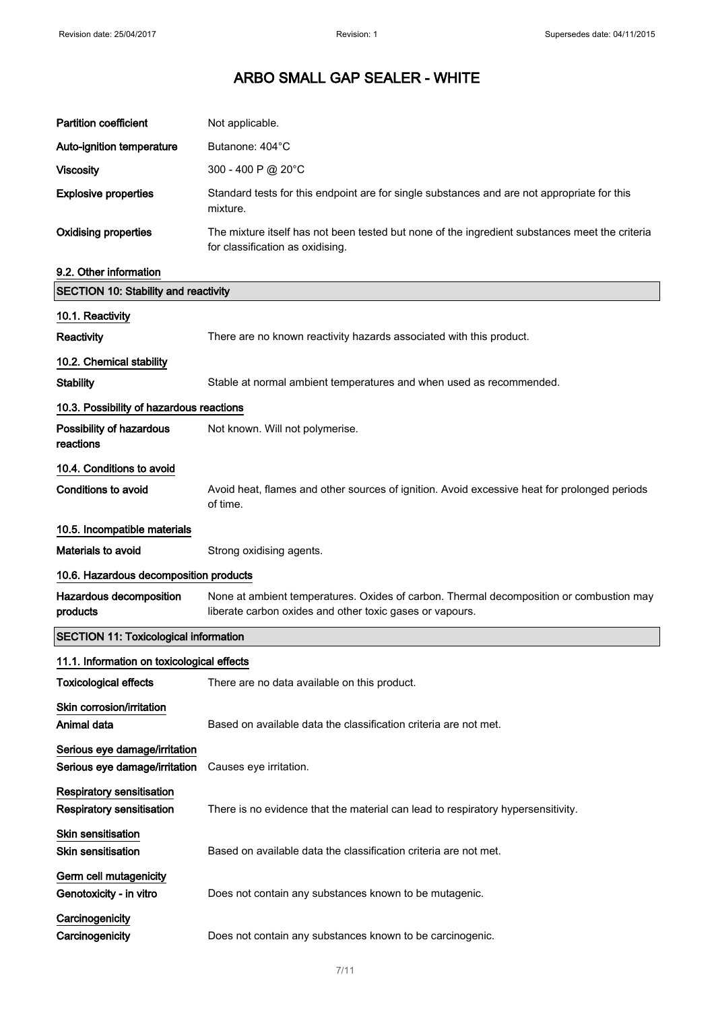| <b>Partition coefficient</b>                                   | Not applicable.                                                                                                                                     |  |  |
|----------------------------------------------------------------|-----------------------------------------------------------------------------------------------------------------------------------------------------|--|--|
| Auto-ignition temperature                                      | Butanone: 404°C                                                                                                                                     |  |  |
| <b>Viscosity</b>                                               | 300 - 400 P @ 20 $^{\circ}$ C                                                                                                                       |  |  |
| <b>Explosive properties</b>                                    | Standard tests for this endpoint are for single substances and are not appropriate for this<br>mixture.                                             |  |  |
| <b>Oxidising properties</b>                                    | The mixture itself has not been tested but none of the ingredient substances meet the criteria<br>for classification as oxidising.                  |  |  |
| 9.2. Other information                                         |                                                                                                                                                     |  |  |
| <b>SECTION 10: Stability and reactivity</b>                    |                                                                                                                                                     |  |  |
| 10.1. Reactivity                                               |                                                                                                                                                     |  |  |
| Reactivity                                                     | There are no known reactivity hazards associated with this product.                                                                                 |  |  |
| 10.2. Chemical stability                                       |                                                                                                                                                     |  |  |
| <b>Stability</b>                                               | Stable at normal ambient temperatures and when used as recommended.                                                                                 |  |  |
| 10.3. Possibility of hazardous reactions                       |                                                                                                                                                     |  |  |
| Possibility of hazardous<br>reactions                          | Not known. Will not polymerise.                                                                                                                     |  |  |
| 10.4. Conditions to avoid                                      |                                                                                                                                                     |  |  |
| Conditions to avoid                                            | Avoid heat, flames and other sources of ignition. Avoid excessive heat for prolonged periods<br>of time.                                            |  |  |
| 10.5. Incompatible materials                                   |                                                                                                                                                     |  |  |
| <b>Materials to avoid</b>                                      | Strong oxidising agents.                                                                                                                            |  |  |
| 10.6. Hazardous decomposition products                         |                                                                                                                                                     |  |  |
| Hazardous decomposition<br>products                            | None at ambient temperatures. Oxides of carbon. Thermal decomposition or combustion may<br>liberate carbon oxides and other toxic gases or vapours. |  |  |
| <b>SECTION 11: Toxicological information</b>                   |                                                                                                                                                     |  |  |
| 11.1. Information on toxicological effects                     |                                                                                                                                                     |  |  |
| <b>Toxicological effects</b>                                   | There are no data available on this product.                                                                                                        |  |  |
| Skin corrosion/irritation<br>Animal data                       | Based on available data the classification criteria are not met.                                                                                    |  |  |
| Serious eye damage/irritation<br>Serious eye damage/irritation | Causes eye irritation.                                                                                                                              |  |  |
| Respiratory sensitisation<br><b>Respiratory sensitisation</b>  | There is no evidence that the material can lead to respiratory hypersensitivity.                                                                    |  |  |
| Skin sensitisation<br><b>Skin sensitisation</b>                | Based on available data the classification criteria are not met.                                                                                    |  |  |
| Germ cell mutagenicity<br>Genotoxicity - in vitro              | Does not contain any substances known to be mutagenic.                                                                                              |  |  |
| Carcinogenicity<br>Carcinogenicity                             | Does not contain any substances known to be carcinogenic.                                                                                           |  |  |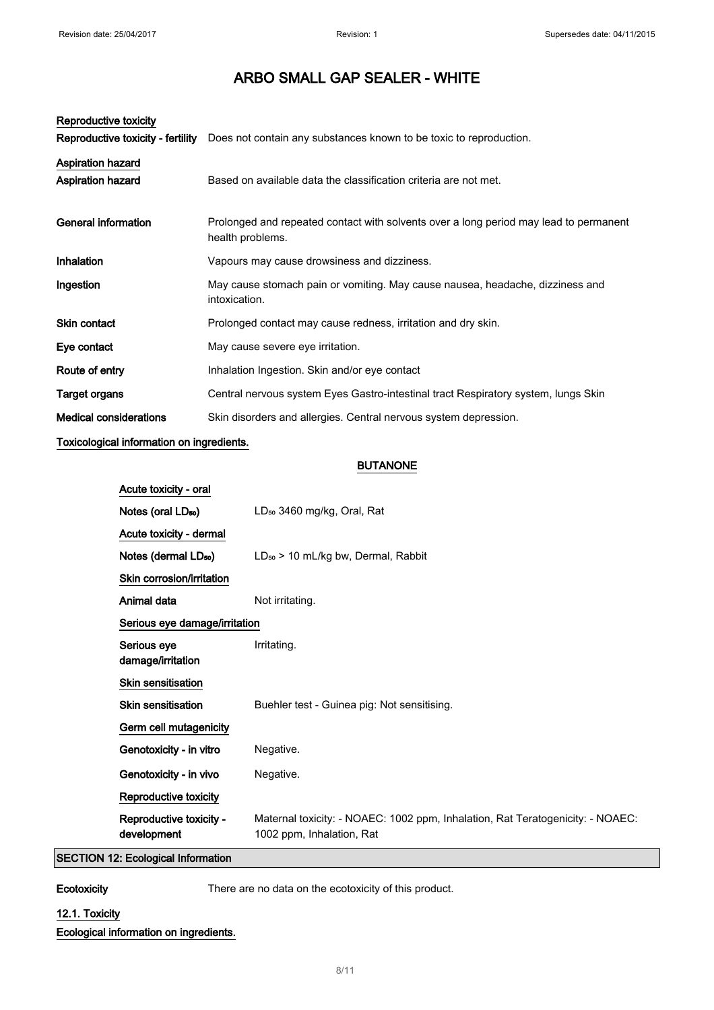| Reproductive toxicity             |                                                                                                           |  |  |
|-----------------------------------|-----------------------------------------------------------------------------------------------------------|--|--|
| Reproductive toxicity - fertility | Does not contain any substances known to be toxic to reproduction.                                        |  |  |
| <b>Aspiration hazard</b>          |                                                                                                           |  |  |
| <b>Aspiration hazard</b>          | Based on available data the classification criteria are not met.                                          |  |  |
| General information               | Prolonged and repeated contact with solvents over a long period may lead to permanent<br>health problems. |  |  |
| Inhalation                        | Vapours may cause drowsiness and dizziness.                                                               |  |  |
| Ingestion                         | May cause stomach pain or vomiting. May cause nausea, headache, dizziness and<br>intoxication.            |  |  |
| <b>Skin contact</b>               | Prolonged contact may cause redness, irritation and dry skin.                                             |  |  |
| Eye contact                       | May cause severe eye irritation.                                                                          |  |  |
| Route of entry                    | Inhalation Ingestion. Skin and/or eye contact                                                             |  |  |
| Target organs                     | Central nervous system Eyes Gastro-intestinal tract Respiratory system, lungs Skin                        |  |  |
| <b>Medical considerations</b>     | Skin disorders and allergies. Central nervous system depression.                                          |  |  |

### Toxicological information on ingredients.

### BUTANONE

| Acute toxicity - oral                  |                                                                                                             |  |
|----------------------------------------|-------------------------------------------------------------------------------------------------------------|--|
| Notes (oral LD <sub>50</sub> )         | LD <sub>50</sub> 3460 mg/kg, Oral, Rat                                                                      |  |
| Acute toxicity - dermal                |                                                                                                             |  |
| Notes (dermal LD <sub>50</sub> )       | LD <sub>50</sub> > 10 mL/kg bw, Dermal, Rabbit                                                              |  |
| Skin corrosion/irritation              |                                                                                                             |  |
| Animal data                            | Not irritating.                                                                                             |  |
| Serious eye damage/irritation          |                                                                                                             |  |
| Serious eye<br>damage/irritation       | Irritating.                                                                                                 |  |
| <b>Skin sensitisation</b>              |                                                                                                             |  |
| <b>Skin sensitisation</b>              | Buehler test - Guinea pig: Not sensitising.                                                                 |  |
| Germ cell mutagenicity                 |                                                                                                             |  |
| Genotoxicity - in vitro                | Negative.                                                                                                   |  |
| Genotoxicity - in vivo                 | Negative.                                                                                                   |  |
| Reproductive toxicity                  |                                                                                                             |  |
| Reproductive toxicity -<br>development | Maternal toxicity: - NOAEC: 1002 ppm, Inhalation, Rat Teratogenicity: - NOAEC:<br>1002 ppm, Inhalation, Rat |  |

# SECTION 12: Ecological Information

Ecotoxicity There are no data on the ecotoxicity of this product.

# 12.1. Toxicity

Ecological information on ingredients.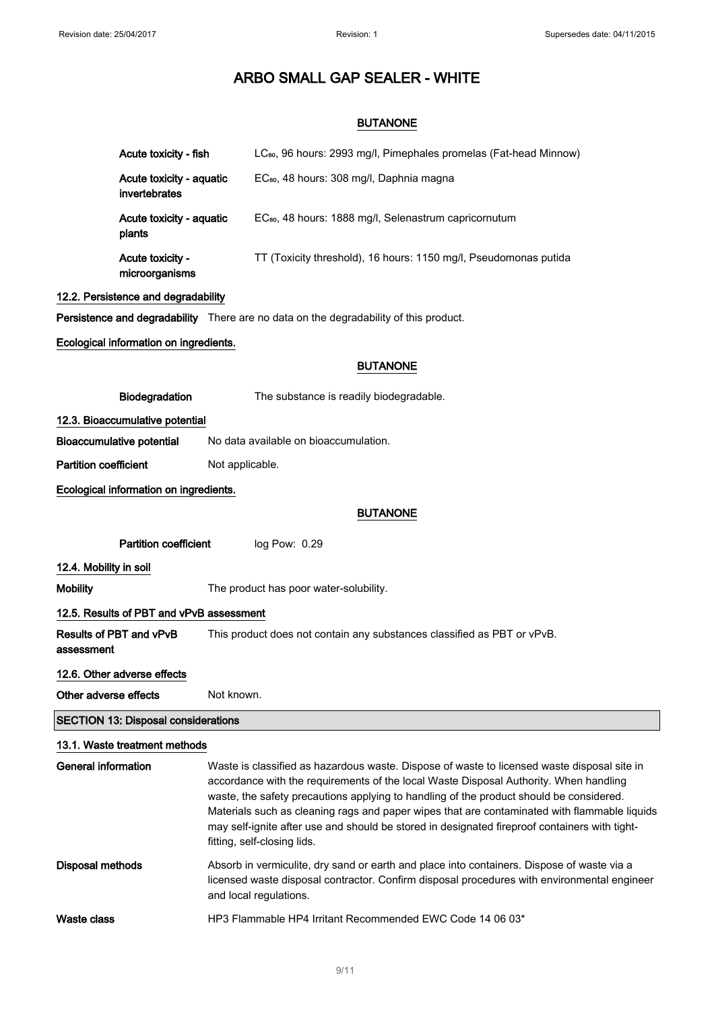### BUTANONE

|                                            | Acute toxicity - fish                     |                                                                         | LC <sub>80</sub> , 96 hours: 2993 mg/l, Pimephales promelas (Fat-head Minnow)                                                                                                                                                                                                                                                                                                                                                                                                                                   |  |
|--------------------------------------------|-------------------------------------------|-------------------------------------------------------------------------|-----------------------------------------------------------------------------------------------------------------------------------------------------------------------------------------------------------------------------------------------------------------------------------------------------------------------------------------------------------------------------------------------------------------------------------------------------------------------------------------------------------------|--|
|                                            | Acute toxicity - aquatic<br>invertebrates |                                                                         | EC <sub>80</sub> , 48 hours: 308 mg/l, Daphnia magna                                                                                                                                                                                                                                                                                                                                                                                                                                                            |  |
|                                            | Acute toxicity - aquatic<br>plants        |                                                                         | EC <sub>80</sub> , 48 hours: 1888 mg/l, Selenastrum capricornutum                                                                                                                                                                                                                                                                                                                                                                                                                                               |  |
|                                            | Acute toxicity -<br>microorganisms        |                                                                         | TT (Toxicity threshold), 16 hours: 1150 mg/l, Pseudomonas putida                                                                                                                                                                                                                                                                                                                                                                                                                                                |  |
|                                            | 12.2. Persistence and degradability       |                                                                         |                                                                                                                                                                                                                                                                                                                                                                                                                                                                                                                 |  |
|                                            |                                           |                                                                         | Persistence and degradability There are no data on the degradability of this product.                                                                                                                                                                                                                                                                                                                                                                                                                           |  |
|                                            | Ecological information on ingredients.    |                                                                         |                                                                                                                                                                                                                                                                                                                                                                                                                                                                                                                 |  |
|                                            |                                           |                                                                         | <b>BUTANONE</b>                                                                                                                                                                                                                                                                                                                                                                                                                                                                                                 |  |
|                                            | Biodegradation                            |                                                                         | The substance is readily biodegradable.                                                                                                                                                                                                                                                                                                                                                                                                                                                                         |  |
|                                            | 12.3. Bioaccumulative potential           |                                                                         |                                                                                                                                                                                                                                                                                                                                                                                                                                                                                                                 |  |
|                                            | <b>Bioaccumulative potential</b>          | No data available on bioaccumulation.                                   |                                                                                                                                                                                                                                                                                                                                                                                                                                                                                                                 |  |
| <b>Partition coefficient</b>               |                                           | Not applicable.                                                         |                                                                                                                                                                                                                                                                                                                                                                                                                                                                                                                 |  |
|                                            | Ecological information on ingredients.    |                                                                         |                                                                                                                                                                                                                                                                                                                                                                                                                                                                                                                 |  |
|                                            |                                           |                                                                         | <b>BUTANONE</b>                                                                                                                                                                                                                                                                                                                                                                                                                                                                                                 |  |
|                                            | Partition coefficient                     |                                                                         | log Pow: 0.29                                                                                                                                                                                                                                                                                                                                                                                                                                                                                                   |  |
| 12.4. Mobility in soil                     |                                           |                                                                         |                                                                                                                                                                                                                                                                                                                                                                                                                                                                                                                 |  |
| <b>Mobility</b>                            |                                           |                                                                         | The product has poor water-solubility.                                                                                                                                                                                                                                                                                                                                                                                                                                                                          |  |
|                                            | 12.5. Results of PBT and vPvB assessment  |                                                                         |                                                                                                                                                                                                                                                                                                                                                                                                                                                                                                                 |  |
| assessment                                 | Results of PBT and vPvB                   | This product does not contain any substances classified as PBT or vPvB. |                                                                                                                                                                                                                                                                                                                                                                                                                                                                                                                 |  |
|                                            | 12.6. Other adverse effects               |                                                                         |                                                                                                                                                                                                                                                                                                                                                                                                                                                                                                                 |  |
| Other adverse effects                      |                                           | Not known.                                                              |                                                                                                                                                                                                                                                                                                                                                                                                                                                                                                                 |  |
| <b>SECTION 13: Disposal considerations</b> |                                           |                                                                         |                                                                                                                                                                                                                                                                                                                                                                                                                                                                                                                 |  |
|                                            | 13.1. Waste treatment methods             |                                                                         |                                                                                                                                                                                                                                                                                                                                                                                                                                                                                                                 |  |
| <b>General information</b>                 |                                           |                                                                         | Waste is classified as hazardous waste. Dispose of waste to licensed waste disposal site in<br>accordance with the requirements of the local Waste Disposal Authority. When handling<br>waste, the safety precautions applying to handling of the product should be considered.<br>Materials such as cleaning rags and paper wipes that are contaminated with flammable liquids<br>may self-ignite after use and should be stored in designated fireproof containers with tight-<br>fitting, self-closing lids. |  |
| <b>Disposal methods</b>                    |                                           |                                                                         | Absorb in vermiculite, dry sand or earth and place into containers. Dispose of waste via a<br>licensed waste disposal contractor. Confirm disposal procedures with environmental engineer<br>and local regulations.                                                                                                                                                                                                                                                                                             |  |

Waste class HP3 Flammable HP4 Irritant Recommended EWC Code 14 06 03\*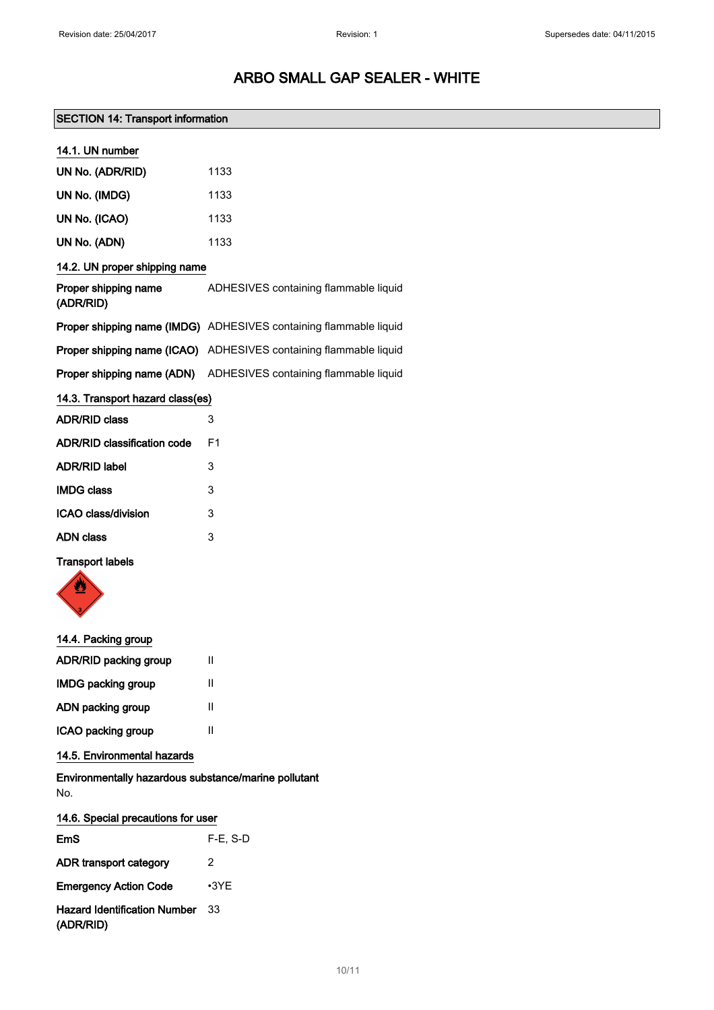# SECTION 14: Transport information

| 14.1. UN number                    |                                                                   |  |
|------------------------------------|-------------------------------------------------------------------|--|
| UN No. (ADR/RID)                   | 1133                                                              |  |
| UN No. (IMDG)                      | 1133                                                              |  |
| UN No. (ICAO)                      | 1133                                                              |  |
| UN No. (ADN)                       | 1133                                                              |  |
| 14.2. UN proper shipping name      |                                                                   |  |
| Proper shipping name<br>(ADR/RID)  | ADHESIVES containing flammable liquid                             |  |
|                                    | Proper shipping name (IMDG) ADHESIVES containing flammable liquid |  |
|                                    | Proper shipping name (ICAO) ADHESIVES containing flammable liquid |  |
| Proper shipping name (ADN)         | ADHESIVES containing flammable liquid                             |  |
| 14.3. Transport hazard class(es)   |                                                                   |  |
| <b>ADR/RID class</b>               | 3                                                                 |  |
| <b>ADR/RID classification code</b> | F <sub>1</sub>                                                    |  |
| <b>ADR/RID label</b>               | 3                                                                 |  |
| <b>IMDG class</b>                  | 3                                                                 |  |
| <b>ICAO class/division</b>         | 3                                                                 |  |
| <b>ADN class</b>                   | 3                                                                 |  |

# Transport labels



### 14.4. Packing group

| <b>ADR/RID packing group</b> | Ш |
|------------------------------|---|
| <b>IMDG packing group</b>    | Ш |
| ADN packing group            | Ш |
| ICAO packing group           | Ш |

# 14.5. Environmental hazards

Environmentally hazardous substance/marine pollutant No.

| 14.6. Special precautions for user               |             |
|--------------------------------------------------|-------------|
| EmS                                              | $F-E. S-D$  |
| ADR transport category                           | 2           |
| <b>Emergency Action Code</b>                     | $\cdot$ 3YE |
| <b>Hazard Identification Number</b><br>(ADR/RID) | 33          |